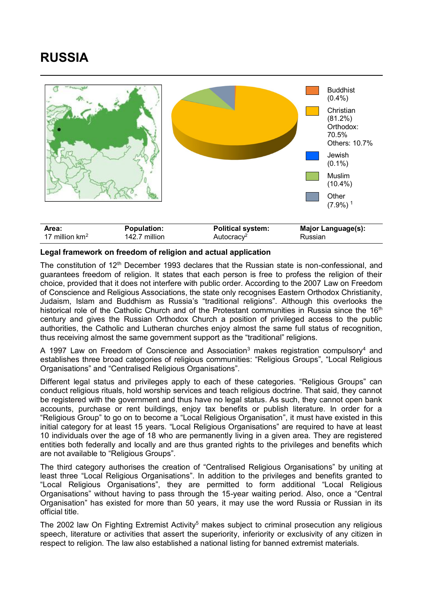## **RUSSIA**



## **Legal framework on freedom of religion and actual application**

The constitution of  $12<sup>th</sup>$  December 1993 declares that the Russian state is non-confessional, and guarantees freedom of religion. It states that each person is free to profess the religion of their choice, provided that it does not interfere with public order. According to the 2007 Law on Freedom of Conscience and Religious Associations, the state only recognises Eastern Orthodox Christianity, Judaism, Islam and Buddhism as Russia's "traditional religions". Although this overlooks the historical role of the Catholic Church and of the Protestant communities in Russia since the 16<sup>th</sup> century and gives the Russian Orthodox Church a position of privileged access to the public authorities, the Catholic and Lutheran churches enjoy almost the same full status of recognition, thus receiving almost the same government support as the "traditional" religions.

A 1997 Law on Freedom of Conscience and Association<sup>3</sup> makes registration compulsory<sup>4</sup> and establishes three broad categories of religious communities: "Religious Groups", "Local Religious Organisations" and "Centralised Religious Organisations".

Different legal status and privileges apply to each of these categories. "Religious Groups" can conduct religious rituals, hold worship services and teach religious doctrine. That said, they cannot be registered with the government and thus have no legal status. As such, they cannot open bank accounts, purchase or rent buildings, enjoy tax benefits or publish literature. In order for a "Religious Group" to go on to become a "Local Religious Organisation", it must have existed in this initial category for at least 15 years. "Local Religious Organisations" are required to have at least 10 individuals over the age of 18 who are permanently living in a given area. They are registered entities both federally and locally and are thus granted rights to the privileges and benefits which are not available to "Religious Groups".

The third category authorises the creation of "Centralised Religious Organisations" by uniting at least three "Local Religious Organisations". In addition to the privileges and benefits granted to "Local Religious Organisations", they are permitted to form additional "Local Religious Organisations" without having to pass through the 15-year waiting period. Also, once a "Central Organisation" has existed for more than 50 years, it may use the word Russia or Russian in its official title.

The 2002 law On Fighting Extremist Activity<sup>5</sup> makes subject to criminal prosecution any religious speech, literature or activities that assert the superiority, inferiority or exclusivity of any citizen in respect to religion. The law also established a national listing for banned extremist materials.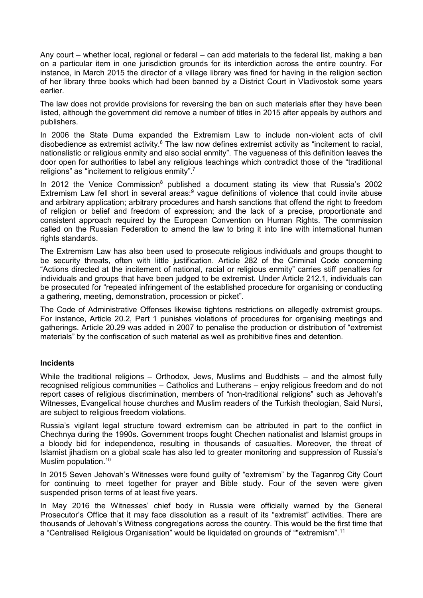Any court – whether local, regional or federal – can add materials to the federal list, making a ban on a particular item in one jurisdiction grounds for its interdiction across the entire country. For instance, in March 2015 the director of a village library was fined for having in the religion section of her library three books which had been banned by a District Court in Vladivostok some years earlier.

The law does not provide provisions for reversing the ban on such materials after they have been listed, although the government did remove a number of titles in 2015 after appeals by authors and publishers.

In 2006 the State Duma expanded the Extremism Law to include non-violent acts of civil disobedience as extremist activity. $6$  The law now defines extremist activity as "incitement to racial, nationalistic or religious enmity and also social enmity". The vagueness of this definition leaves the door open for authorities to label any religious teachings which contradict those of the "traditional religions" as "incitement to religious enmity".<sup>7</sup>

In 2012 the Venice Commission<sup>8</sup> published a document stating its view that Russia's 2002 Extremism Law fell short in several areas:<sup>9</sup> vague definitions of violence that could invite abuse and arbitrary application; arbitrary procedures and harsh sanctions that offend the right to freedom of religion or belief and freedom of expression; and the lack of a precise, proportionate and consistent approach required by the European Convention on Human Rights. The commission called on the Russian Federation to amend the law to bring it into line with international human rights standards.

The Extremism Law has also been used to prosecute religious individuals and groups thought to be security threats, often with little justification. Article 282 of the Criminal Code concerning "Actions directed at the incitement of national, racial or religious enmity" carries stiff penalties for individuals and groups that have been judged to be extremist. Under Article 212.1, individuals can be prosecuted for "repeated infringement of the established procedure for organising or conducting a gathering, meeting, demonstration, procession or picket".

The Code of Administrative Offenses likewise tightens restrictions on allegedly extremist groups. For instance, Article 20.2, Part 1 punishes violations of procedures for organising meetings and gatherings. Article 20.29 was added in 2007 to penalise the production or distribution of "extremist materials" by the confiscation of such material as well as prohibitive fines and detention.

## **Incidents**

While the traditional religions – Orthodox, Jews, Muslims and Buddhists – and the almost fully recognised religious communities – Catholics and Lutherans – enjoy religious freedom and do not report cases of religious discrimination, members of "non-traditional religions" such as Jehovah's Witnesses, Evangelical house churches and Muslim readers of the Turkish theologian, Said Nursi, are subject to religious freedom violations.

Russia's vigilant legal structure toward extremism can be attributed in part to the conflict in Chechnya during the 1990s. Government troops fought Chechen nationalist and Islamist groups in a bloody bid for independence, resulting in thousands of casualties. Moreover, the threat of Islamist jihadism on a global scale has also led to greater monitoring and suppression of Russia's Muslim population.<sup>10</sup>

In 2015 Seven Jehovah's Witnesses were found guilty of "extremism" by the Taganrog City Court for continuing to meet together for prayer and Bible study. Four of the seven were given suspended prison terms of at least five years.

In May 2016 the Witnesses' chief body in Russia were officially warned by the General Prosecutor's Office that it may face dissolution as a result of its "extremist" activities. There are thousands of Jehovah's Witness congregations across the country. This would be the first time that a "Centralised Religious Organisation" would be liquidated on grounds of ""extremism".<sup>11</sup>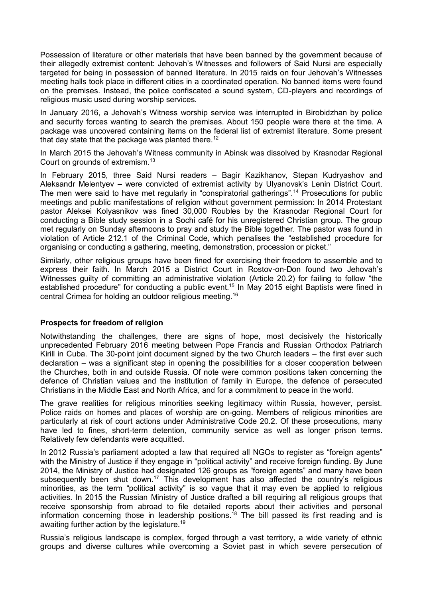Possession of literature or other materials that have been banned by the government because of their allegedly extremist content: Jehovah's Witnesses and followers of Said Nursi are especially targeted for being in possession of banned literature. In 2015 raids on four Jehovah's Witnesses meeting halls took place in different cities in a coordinated operation. No banned items were found on the premises. Instead, the police confiscated a sound system, CD-players and recordings of religious music used during worship services.

In January 2016, a Jehovah's Witness worship service was interrupted in Birobidzhan by police and security forces wanting to search the premises. About 150 people were there at the time. A package was uncovered containing items on the federal list of extremist literature. Some present that day state that the package was planted there.<sup>12</sup>

In March 2015 the Jehovah's Witness community in Abinsk was dissolved by Krasnodar Regional Court on grounds of extremism.<sup>13</sup>

In February 2015, three Said Nursi readers – Bagir Kazikhanov, Stepan Kudryashov and Aleksandr Melentyev **–** were convicted of extremist activity by Ulyanovsk's Lenin District Court. The men were said to have met regularly in "conspiratorial gatherings".<sup>14</sup> Prosecutions for public meetings and public manifestations of religion without government permission: In 2014 Protestant pastor Aleksei Kolyasnikov was fined 30,000 Roubles by the Krasnodar Regional Court for conducting a Bible study session in a Sochi café for his unregistered Christian group. The group met regularly on Sunday afternoons to pray and study the Bible together. The pastor was found in violation of Article 212.1 of the Criminal Code, which penalises the "established procedure for organising or conducting a gathering, meeting, demonstration, procession or picket."

Similarly, other religious groups have been fined for exercising their freedom to assemble and to express their faith. In March 2015 a District Court in Rostov-on-Don found two Jehovah's Witnesses guilty of committing an administrative violation (Article 20.2) for failing to follow "the established procedure" for conducting a public event.<sup>15</sup> In May 2015 eight Baptists were fined in central Crimea for holding an outdoor religious meeting.<sup>16</sup>

## **Prospects for freedom of religion**

Notwithstanding the challenges, there are signs of hope, most decisively the historically unprecedented February 2016 meeting between Pope Francis and Russian Orthodox Patriarch Kirill in Cuba. The 30-point joint document signed by the two Church leaders – the first ever such declaration – was a significant step in opening the possibilities for a closer cooperation between the Churches, both in and outside Russia. Of note were common positions taken concerning the defence of Christian values and the institution of family in Europe, the defence of persecuted Christians in the Middle East and North Africa, and for a commitment to peace in the world.

The grave realities for religious minorities seeking legitimacy within Russia, however, persist. Police raids on homes and places of worship are on-going. Members of religious minorities are particularly at risk of court actions under Administrative Code 20.2. Of these prosecutions, many have led to fines, short-term detention, community service as well as longer prison terms. Relatively few defendants were acquitted.

In 2012 Russia's parliament adopted a law that required all NGOs to register as "foreign agents" with the Ministry of Justice if they engage in "political activity" and receive foreign funding. By June 2014, the Ministry of Justice had designated 126 groups as "foreign agents" and many have been subsequently been shut down.<sup>17</sup> This development has also affected the country's religious minorities, as the term "political activity" is so vague that it may even be applied to religious activities. In 2015 the Russian Ministry of Justice drafted a bill requiring all religious groups that receive sponsorship from abroad to file detailed reports about their activities and personal information concerning those in leadership positions.<sup>18</sup> The bill passed its first reading and is awaiting further action by the legislature.<sup>19</sup>

Russia's religious landscape is complex, forged through a vast territory, a wide variety of ethnic groups and diverse cultures while overcoming a Soviet past in which severe persecution of